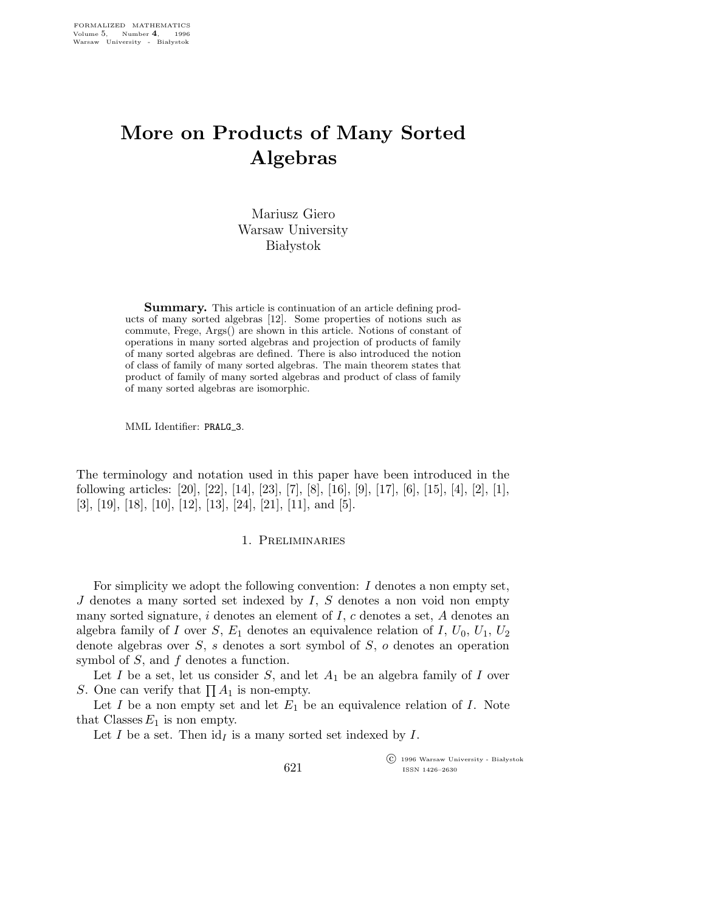# More on Products of Many Sorted Algebras

Mariusz Giero Warsaw University **Białystok** 

Summary. This article is continuation of an article defining products of many sorted algebras [12]. Some properties of notions such as commute, Frege, Args() are shown in this article. Notions of constant of operations in many sorted algebras and projection of products of family of many sorted algebras are defined. There is also introduced the notion of class of family of many sorted algebras. The main theorem states that product of family of many sorted algebras and product of class of family of many sorted algebras are isomorphic.

MML Identifier: PRALG 3.

The terminology and notation used in this paper have been introduced in the following articles: [20], [22], [14], [23], [7], [8], [16], [9], [17], [6], [15], [4], [2], [1],  $[3], [19], [18], [10], [12], [13], [24], [21], [11], \text{and } [5].$ 

### 1. Preliminaries

For simplicity we adopt the following convention: I denotes a non empty set,  $J$  denotes a many sorted set indexed by  $I, S$  denotes a non void non empty many sorted signature,  $i$  denotes an element of  $I$ ,  $c$  denotes a set,  $A$  denotes an algebra family of I over  $S, E_1$  denotes an equivalence relation of I,  $U_0, U_1, U_2$ denote algebras over  $S$ , s denotes a sort symbol of  $S$ , o denotes an operation symbol of S, and f denotes a function.

Let I be a set, let us consider S, and let  $A_1$  be an algebra family of I over S. One can verify that  $\prod A_1$  is non-empty.

Let  $I$  be a non empty set and let  $E_1$  be an equivalence relation of  $I$ . Note that Classes  $E_1$  is non empty.

621

Let I be a set. Then  $id<sub>I</sub>$  is a many sorted set indexed by I.

 $\overline{\text{C}}$  1996 Warsaw University - Białystok ISSN 1426–2630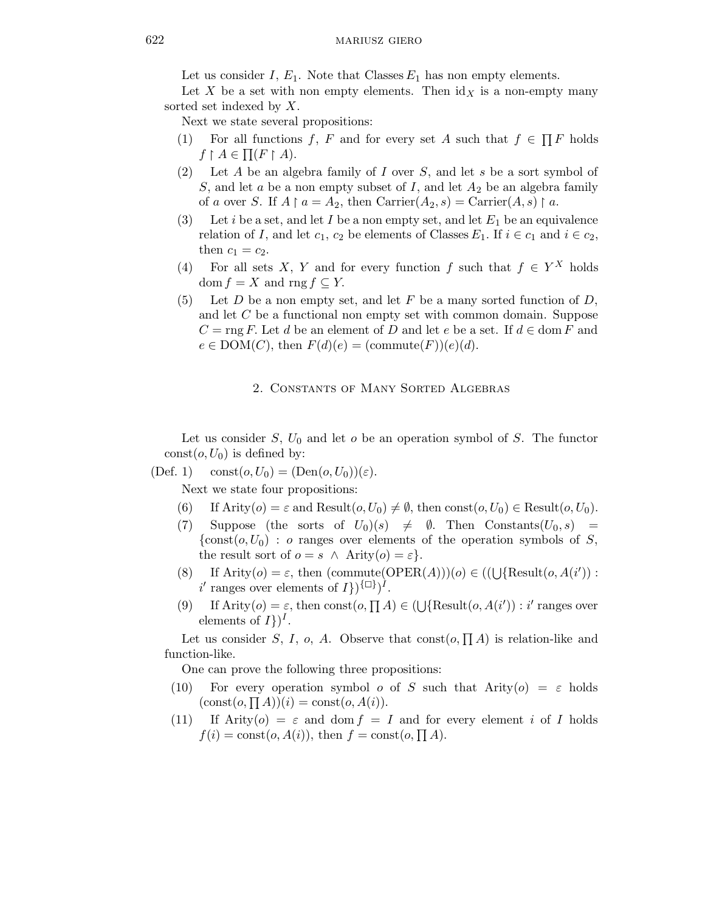Let us consider I,  $E_1$ . Note that Classes  $E_1$  has non empty elements.

Let X be a set with non empty elements. Then  $\mathrm{id}_X$  is a non-empty many sorted set indexed by  $X$ .

Next we state several propositions:

- (1) For all functions f, F and for every set A such that  $f \in \prod F$  holds  $f \restriction A \in \prod(F \restriction A).$
- (2) Let A be an algebra family of I over S, and let s be a sort symbol of S, and let a be a non empty subset of I, and let  $A_2$  be an algebra family of a over S. If  $A \upharpoonright a = A_2$ , then  $\text{Carrier}(A_2, s) = \text{Carrier}(A, s) \upharpoonright a$ .
- (3) Let i be a set, and let I be a non empty set, and let  $E_1$  be an equivalence relation of I, and let  $c_1$ ,  $c_2$  be elements of Classes  $E_1$ . If  $i \in c_1$  and  $i \in c_2$ , then  $c_1 = c_2$ .
- (4) For all sets X, Y and for every function f such that  $f \in Y^X$  holds  $dom f = X$  and  $rng f \subseteq Y$ .
- (5) Let D be a non empty set, and let F be a many sorted function of D, and let C be a functional non empty set with common domain. Suppose  $C = \text{rng } F$ . Let d be an element of D and let e be a set. If  $d \in \text{dom } F$  and  $e \in \text{DOM}(C)$ , then  $F(d)(e) = (\text{commute}(F))(e)(d)$ .

## 2. Constants of Many Sorted Algebras

Let us consider  $S, U_0$  and let  $o$  be an operation symbol of  $S$ . The functor const $(o, U_0)$  is defined by:

(Def. 1) const $(o, U_0) = (Den(o, U_0))(\varepsilon)$ .

Next we state four propositions:

- (6) If Arity( $o$ ) =  $\varepsilon$  and Result( $o, U_0$ )  $\neq \emptyset$ , then const( $o, U_0$ )  $\in$  Result( $o, U_0$ ).
- (7) Suppose (the sorts of  $U_0)(s) \neq \emptyset$ . Then Constants $(U_0, s)$  =  $\{\text{const}(o, U_0) : o \text{ ranges over elements of the operation symbols of } S,$ the result sort of  $o = s \land$  Arity $(o) = \varepsilon$ .
- (8) If  $\text{Arity}(o) = \varepsilon$ , then  $(\text{commute}(\text{OPER}(A)))(o) \in ((\bigcup \{\text{Result}(o, A(i'))\}$ : i' ranges over elements of  $I$ })<sup>{ $\Box$ }</sup>)<sup> $\hat{I}$ </sup>.
- (9) If Arity( $o$ ) =  $\varepsilon$ , then const $(o, \prod A) \in (\bigcup {\text{Result}}(o, A(i')) : i'$  ranges over elements of  $I$ })<sup> $I$ </sup>.

Let us consider S, I, o, A. Observe that  $\text{const}(o, \prod A)$  is relation-like and function-like.

One can prove the following three propositions:

- (10) For every operation symbol o of S such that  $Arity(o) = \varepsilon$  holds  $(\text{const}(o, \prod A))(i) = \text{const}(o, A(i)).$
- (11) If Arity( $o$ ) =  $\varepsilon$  and dom  $f = I$  and for every element i of I holds  $f(i) = \text{const}(o, A(i))$ , then  $f = \text{const}(o, \prod A)$ .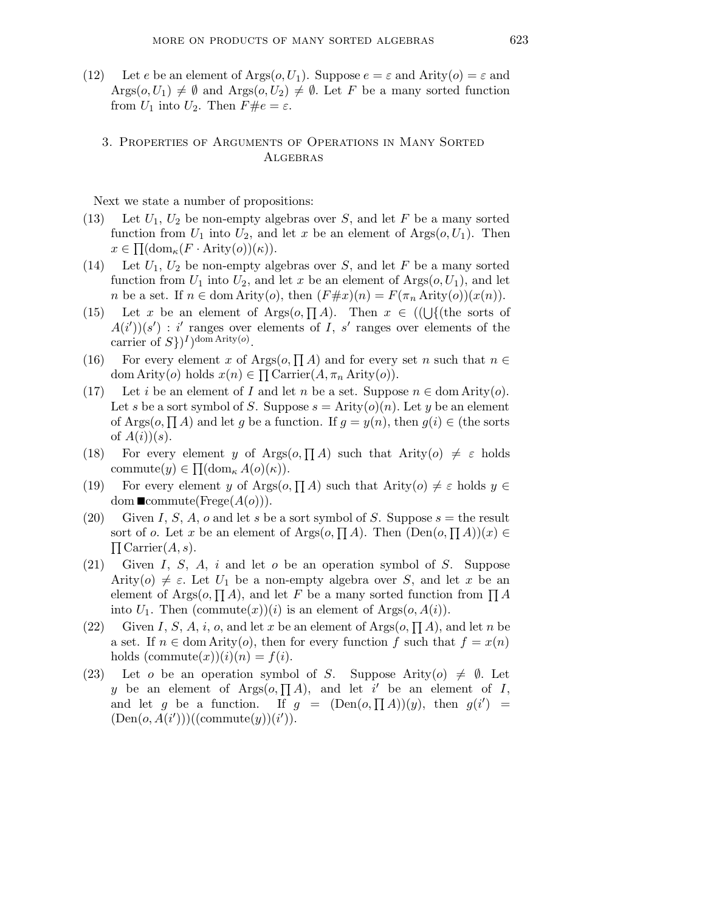(12) Let e be an element of Args $(o, U_1)$ . Suppose  $e = \varepsilon$  and Arity $(o) = \varepsilon$  and  $Arg(s, U_1) \neq \emptyset$  and  $Arg(s, U_2) \neq \emptyset$ . Let F be a many sorted function from  $U_1$  into  $U_2$ . Then  $F \# e = \varepsilon$ .

# 3. Properties of Arguments of Operations in Many Sorted **ALGEBRAS**

Next we state a number of propositions:

- (13) Let  $U_1, U_2$  be non-empty algebras over S, and let F be a many sorted function from  $U_1$  into  $U_2$ , and let x be an element of Args $(o, U_1)$ . Then  $x \in \Pi(\text{dom}_{\kappa}(F \cdot \text{Arity}(o))(\kappa)).$
- (14) Let  $U_1$ ,  $U_2$  be non-empty algebras over S, and let F be a many sorted function from  $U_1$  into  $U_2$ , and let x be an element of  $\text{Args}(o, U_1)$ , and let *n* be a set. If  $n \in \text{dom Artity}(o)$ , then  $(F \# x)(n) = F(\pi_n \text{Arity}(o))(x(n)).$
- (15) Let x be an element of Args $(o, \prod A)$ . Then  $x \in ((\bigcup \{$ (the sorts of  $A(i')(s') : i'$  ranges over elements of I, s' ranges over elements of the carrier of  $S$ } $)$ <sup>*I*</sup> $)$ <sup>dom Arity(*o*).</sup>
- (16) For every element x of Args $(o, \prod A)$  and for every set n such that  $n \in$ dom Arity(*o*) holds  $x(n) \in \prod \text{Carrier}(A, \pi_n \text{Arity}(o)).$
- (17) Let i be an element of I and let n be a set. Suppose  $n \in \text{dom} \text{Arity}(o)$ . Let s be a sort symbol of S. Suppose  $s =$  Arity $(o)(n)$ . Let y be an element of Args( $o, \prod A$ ) and let g be a function. If  $g = y(n)$ , then  $g(i) \in$  (the sorts of  $A(i)(s)$ .
- (18) For every element y of Args $(o, \prod A)$  such that Arity $(o) \neq \varepsilon$  holds commute $(y) \in \prod(\mathrm{dom}_{\kappa} A(o)(\kappa)).$
- (19) For every element y of Args $(o, \prod A)$  such that Arity $(o) \neq \varepsilon$  holds  $y \in$ dom  $\blacksquare$ commute(Frege $(A(o))$ ).
- (20) Given I, S, A, o and let s be a sort symbol of S. Suppose  $s =$  the result sort of *o*. Let *x* be an element of  $\text{Args}(o, \prod A)$ . Then  $(\text{Den}(o, \prod A))(x) \in$  $\Pi$  Carrier $(A, s)$ .
- (21) Given I, S, A, i and let  $o$  be an operation symbol of S. Suppose Arity(o)  $\neq \varepsilon$ . Let  $U_1$  be a non-empty algebra over S, and let x be an element of Args $(o, \prod A)$ , and let F be a many sorted function from  $\prod A$ into  $U_1$ . Then  $(commute(x))(i)$  is an element of  $\text{Arg}(o, A(i))$ .
- (22) Given I, S, A, i, o, and let x be an element of  $\text{Args}(o, \prod A)$ , and let n be a set. If  $n \in \text{dom} \text{Arity}(o)$ , then for every function f such that  $f = x(n)$ holds  $(commute(x))(i)(n) = f(i).$
- (23) Let o be an operation symbol of S. Suppose Arity(o)  $\neq \emptyset$ . Let y be an element of  $\text{Arg}(o, \prod A)$ , and let i' be an element of I, and let g be a function. If  $g = (\text{Den}(o, \prod A))(y)$ , then  $g(i') =$  $(Den(o, A(i')))((commute(y))(i')).$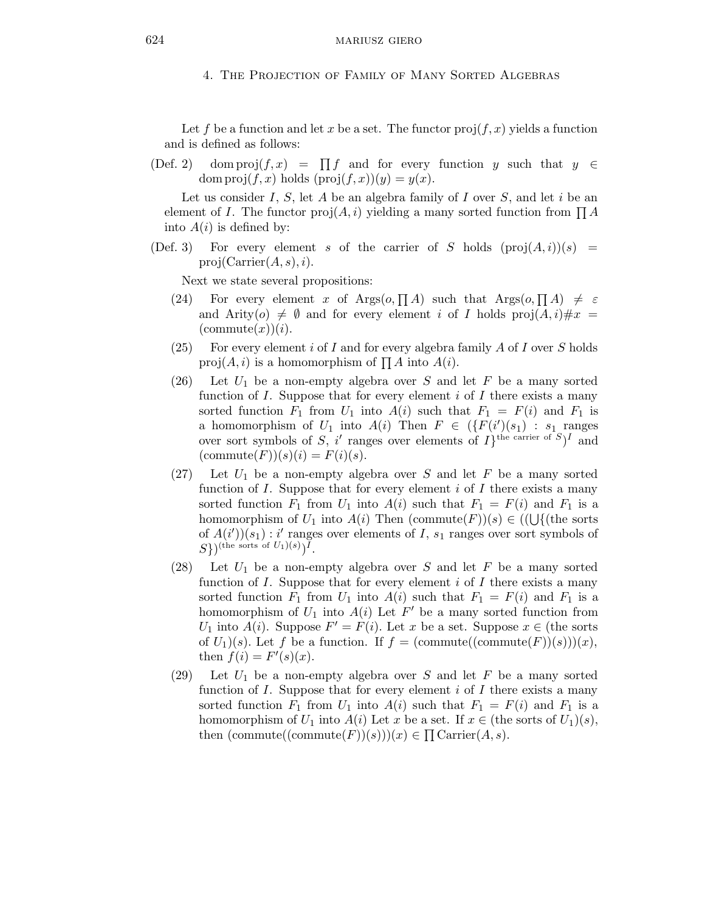4. The Projection of Family of Many Sorted Algebras

Let f be a function and let x be a set. The functor  $proj(f, x)$  yields a function and is defined as follows:

 $(Def. 2)$  dom  $proj(f, x) = \prod f$  and for every function y such that  $y \in$ dom  $proj(f, x)$  holds  $(proj(f, x))(y) = y(x)$ .

Let us consider I, S, let A be an algebra family of I over S, and let i be an element of *I*. The functor  $proj(A, i)$  yielding a many sorted function from  $\prod A$ into  $A(i)$  is defined by:

(Def. 3) For every element s of the carrier of S holds  $(proj(A,i))(s)$  =  $proj(Carrier(A, s), i).$ 

Next we state several propositions:

- (24) For every element x of Args $(o, \prod A)$  such that Args $(o, \prod A) \neq \varepsilon$ and Arity(o)  $\neq \emptyset$  and for every element i of I holds proj(A, i)  $\#x$  =  $(commute(x))(i).$
- (25) For every element i of I and for every algebra family  $A$  of I over  $S$  holds proj $(A, i)$  is a homomorphism of  $\prod A$  into  $A(i)$ .
- (26) Let  $U_1$  be a non-empty algebra over S and let F be a many sorted function of  $I$ . Suppose that for every element  $i$  of  $I$  there exists a many sorted function  $F_1$  from  $U_1$  into  $A(i)$  such that  $F_1 = F(i)$  and  $F_1$  is a homomorphism of  $U_1$  into  $A(i)$  Then  $F \in (\{F(i')(s_1) : s_1 \text{ ranges})\}$ over sort symbols of S, i' ranges over elements of  $I$ <sup>the carrier of S</sup>)<sup>I</sup> and  $(\text{commute}(F))(s)(i) = F(i)(s).$
- $(27)$  Let  $U_1$  be a non-empty algebra over S and let F be a many sorted function of  $I$ . Suppose that for every element  $i$  of  $I$  there exists a many sorted function  $F_1$  from  $U_1$  into  $A(i)$  such that  $F_1 = F(i)$  and  $F_1$  is a homomorphism of  $U_1$  into  $A(i)$  Then  $(\text{commute}(F))(s) \in ((\bigcup \{(\text{the sorts})\})$ of  $A(i')(s_1) : i'$  ranges over elements of I,  $s_1$  ranges over sort symbols of  $(S)$ )<sup>(the sorts of  $U_1)(s)$ )<sup>T</sup>.</sup>
- (28) Let  $U_1$  be a non-empty algebra over S and let F be a many sorted function of  $I$ . Suppose that for every element  $i$  of  $I$  there exists a many sorted function  $F_1$  from  $U_1$  into  $A(i)$  such that  $F_1 = F(i)$  and  $F_1$  is a homomorphism of  $U_1$  into  $A(i)$  Let  $F'$  be a many sorted function from  $U_1$  into  $A(i)$ . Suppose  $F' = F(i)$ . Let x be a set. Suppose  $x \in$  (the sorts of  $U_1)(s)$ . Let f be a function. If  $f = (commute((commute(F))(s)))(x)$ , then  $f(i) = F'(s)(x)$ .
- $(29)$  Let  $U_1$  be a non-empty algebra over S and let F be a many sorted function of  $I$ . Suppose that for every element  $i$  of  $I$  there exists a many sorted function  $F_1$  from  $U_1$  into  $A(i)$  such that  $F_1 = F(i)$  and  $F_1$  is a homomorphism of  $U_1$  into  $A(i)$  Let x be a set. If  $x \in$  (the sorts of  $U_1)(s)$ , then  $(commute((commute(F))(s)))(x) \in \prod \text{Carrier}(A, s).$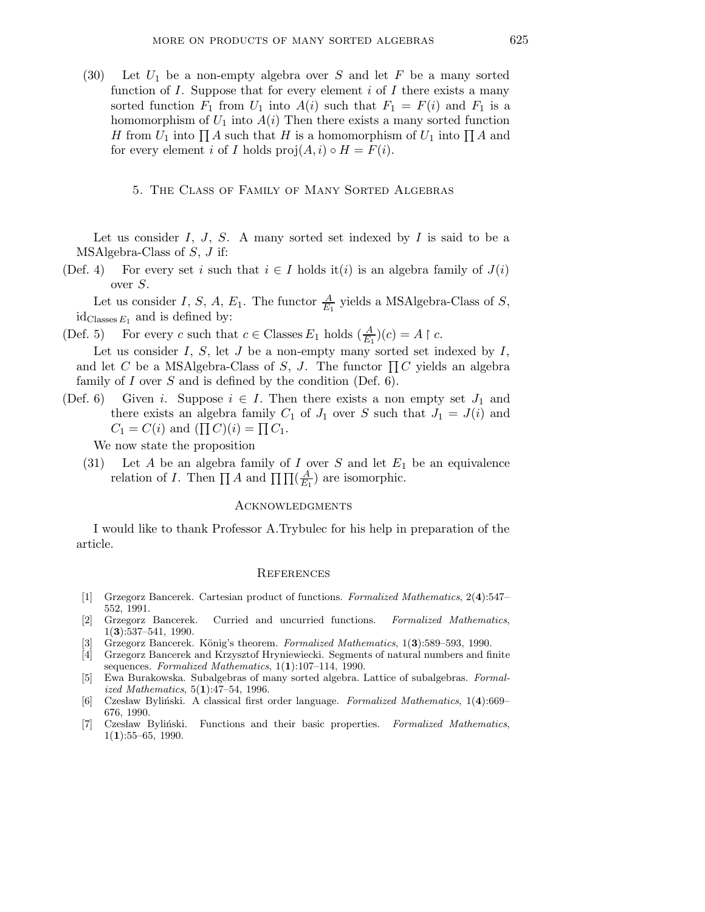(30) Let  $U_1$  be a non-empty algebra over S and let F be a many sorted function of  $I$ . Suppose that for every element  $i$  of  $I$  there exists a many sorted function  $F_1$  from  $U_1$  into  $A(i)$  such that  $F_1 = F(i)$  and  $F_1$  is a homomorphism of  $U_1$  into  $A(i)$  Then there exists a many sorted function H from  $U_1$  into  $\prod A$  such that H is a homomorphism of  $U_1$  into  $\prod A$  and for every element i of I holds  $proj(A, i) \circ H = F(i)$ .

# 5. The Class of Family of Many Sorted Algebras

Let us consider  $I, J, S$ . A many sorted set indexed by  $I$  is said to be a MSAlgebra-Class of S, J if:

(Def. 4) For every set i such that  $i \in I$  holds it(i) is an algebra family of  $J(i)$ over S.

Let us consider I, S, A,  $E_1$ . The functor  $\frac{A}{E_1}$  yields a MSAlgebra-Class of S,  $id_{\text{Classes }E_1}$  and is defined by:

(Def. 5) For every c such that  $c \in \text{Classes } E_1$  holds  $(\frac{A}{E_1})(c) = A \upharpoonright c$ .

Let us consider  $I, S$ , let  $J$  be a non-empty many sorted set indexed by  $I$ , and let C be a MSAlgebra-Class of S, J. The functor  $\prod C$  yields an algebra family of  $I$  over  $S$  and is defined by the condition (Def. 6).

(Def. 6) Given i. Suppose  $i \in I$ . Then there exists a non empty set  $J_1$  and there exists an algebra family  $C_1$  of  $J_1$  over S such that  $J_1 = J(i)$  and  $C_1 = C(i)$  and  $(\prod C)(i) = \prod C_1$ .

We now state the proposition

(31) Let A be an algebra family of I over S and let  $E_1$  be an equivalence relation of *I*. Then  $\prod A$  and  $\prod \prod (\frac{A}{E_A})$  $\frac{A}{E_1}$ ) are isomorphic.

## **ACKNOWLEDGMENTS**

I would like to thank Professor A.Trybulec for his help in preparation of the article.

#### **REFERENCES**

- [1] Grzegorz Bancerek. Cartesian product of functions. Formalized Mathematics, 2(4):547– 552, 1991.
- [2] Grzegorz Bancerek. Curried and uncurried functions. Formalized Mathematics, 1(3):537–541, 1990.
- Grzegorz Bancerek. König's theorem. Formalized Mathematics, 1(3):589–593, 1990.
- [4] Grzegorz Bancerek and Krzysztof Hryniewiecki. Segments of natural numbers and finite sequences. Formalized Mathematics,  $1(1):107-114$ , 1990.
- [5] Ewa Burakowska. Subalgebras of many sorted algebra. Lattice of subalgebras. Formalized Mathematics, 5(1):47–54, 1996.
- [6] Czesław Byliński. A classical first order language. Formalized Mathematics, 1(4):669– 676, 1990.
- [7] Czesław Byliński. Functions and their basic properties. Formalized Mathematics,  $1(1):55-65, 1990.$